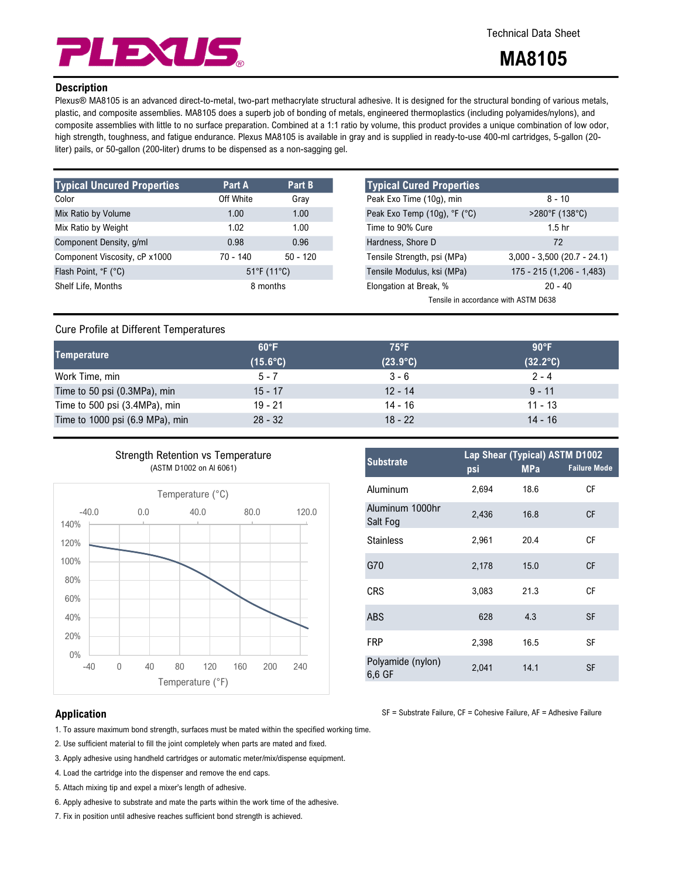

# Technical Data Sheet

# MA8105

## **Description**

Plexus® MA8105 is an advanced direct-to-metal, two-part methacrylate structural adhesive. It is designed for the structural bonding of various metals, plastic, and composite assemblies. MA8105 does a superb job of bonding of metals, engineered thermoplastics (including polyamides/nylons), and composite assemblies with little to no surface preparation. Combined at a 1:1 ratio by volume, this product provides a unique combination of low odor, high strength, toughness, and fatigue endurance. Plexus MA8105 is available in gray and is supplied in ready-to-use 400-ml cartridges, 5-gallon (20 liter) pails, or 50-gallon (200-liter) drums to be dispensed as a non-sagging gel.

| <b>Typical Uncured Properties</b> | Part A     | Part B                           | <b>Typical Cured Properties</b> |
|-----------------------------------|------------|----------------------------------|---------------------------------|
| Color                             | Off White  | Gray                             | Peak Exo Time (10g), min        |
| Mix Ratio by Volume               | 1.00       | 1.00                             | Peak Exo Temp (10g), °F (°C)    |
| Mix Ratio by Weight               | 1.02       | 1.00                             | Time to 90% Cure                |
| Component Density, g/ml           | 0.98       | 0.96                             | Hardness, Shore D               |
| Component Viscosity, cP x1000     | $70 - 140$ | $50 - 120$                       | Tensile Strength, psi (MPa)     |
| Flash Point, °F (°C)              |            | $51^{\circ}$ F (11 $^{\circ}$ C) | Tensile Modulus, ksi (MPa)      |
| Shelf Life, Months                |            | 8 months                         | Elongation at Break, %          |
|                                   |            |                                  |                                 |

| <b>Typical Cured Properties</b>      |                               |  |  |  |
|--------------------------------------|-------------------------------|--|--|--|
| Peak Exo Time (10g), min             | $8 - 10$                      |  |  |  |
| Peak Exo Temp (10g), °F (°C)         | $>280^{\circ}$ F (138°C)      |  |  |  |
| Time to 90% Cure                     | 1.5 <sub>hr</sub>             |  |  |  |
| Hardness, Shore D                    | 72                            |  |  |  |
| Tensile Strength, psi (MPa)          | $3,000 - 3,500$ (20.7 - 24.1) |  |  |  |
| Tensile Modulus, ksi (MPa)           | 175 - 215 (1,206 - 1,483)     |  |  |  |
| Elongation at Break, %               | $20 - 40$                     |  |  |  |
| Tensile in accordance with ASTM D638 |                               |  |  |  |

# Cure Profile at Different Temperatures

| Mix Ratio by Weight                                              |                                          |                        | 1.02                             | 1.00              | Time to 90% Cure            |                                      | 1.5 <sub>hr</sub>              |                               |  |
|------------------------------------------------------------------|------------------------------------------|------------------------|----------------------------------|-------------------|-----------------------------|--------------------------------------|--------------------------------|-------------------------------|--|
| Component Density, g/ml                                          |                                          |                        | 0.98                             | 0.96              | Hardness, Shore D           |                                      |                                | 72                            |  |
| Component Viscosity, cP x1000                                    |                                          |                        | $70 - 140$                       | $50 - 120$        | Tensile Strength, psi (MPa) |                                      |                                | $3,000 - 3,500$ (20.7 - 24.1) |  |
| Flash Point, °F (°C)                                             |                                          |                        | $51^{\circ}$ F (11 $^{\circ}$ C) |                   | Tensile Modulus, ksi (MPa)  |                                      | 175 - 215 (1,206 - 1,483)      |                               |  |
| Shelf Life, Months                                               |                                          |                        | 8 months                         |                   | Elongation at Break, %      |                                      |                                | $20 - 40$                     |  |
|                                                                  |                                          |                        |                                  |                   |                             | Tensile in accordance with ASTM D638 |                                |                               |  |
| <b>Cure Profile at Different Temperatures</b>                    |                                          |                        |                                  |                   |                             |                                      |                                |                               |  |
| Temperature                                                      |                                          | 60°F                   |                                  | $75^{\circ}$ F    | 90°F                        |                                      |                                |                               |  |
|                                                                  |                                          | $(15.6^{\circ}C)$      |                                  | $(23.9^{\circ}C)$ | $(32.2^{\circ}C)$           |                                      |                                |                               |  |
| Work Time, min                                                   |                                          |                        | $5 - 7$                          |                   | $3 - 6$                     |                                      | $2 - 4$                        |                               |  |
| Time to 50 psi (0.3MPa), min                                     |                                          |                        | $15 - 17$                        |                   | $12 - 14$                   | $9 - 11$                             |                                |                               |  |
| Time to 500 psi (3.4MPa), min<br>Time to 1000 psi (6.9 MPa), min |                                          | $19 - 21$<br>$28 - 32$ |                                  | $14 - 16$         | $11 - 13$<br>$14 - 16$      |                                      |                                |                               |  |
|                                                                  |                                          |                        |                                  | $18 - 22$         |                             |                                      |                                |                               |  |
|                                                                  | <b>Strength Retention vs Temperature</b> |                        |                                  |                   | <b>Substrate</b>            |                                      | Lap Shear (Typical) ASTM D1002 |                               |  |
| (ASTM D1002 on AI 6061)                                          |                                          |                        |                                  |                   |                             | psi                                  | <b>MPa</b>                     | <b>Failure Mode</b>           |  |
|                                                                  |                                          | Temperature (°C)       |                                  |                   | Aluminum                    | 2,694                                | 18.6                           | CF                            |  |
| $-40.0$<br>140%                                                  | 0.0                                      | 40.0                   | 80.0                             | 120.0             | Aluminum 1000hr<br>Salt Fog | 2,436                                | 16.8                           | <b>CF</b>                     |  |
| 120%                                                             |                                          |                        |                                  |                   | <b>Stainless</b>            | 2,961                                | 20.4                           | <b>CF</b>                     |  |
| 100%                                                             |                                          |                        |                                  |                   | G70                         | 2,178                                | 15.0                           | CF                            |  |
| 80%                                                              |                                          |                        |                                  |                   |                             |                                      |                                |                               |  |



| <b>Substrate</b>            | Lap Shear (Typical) ASTM D1002 |            |                     |  |
|-----------------------------|--------------------------------|------------|---------------------|--|
|                             | psi                            | <b>MPa</b> | <b>Failure Mode</b> |  |
| Aluminum                    | 2,694                          | 18.6       | СF                  |  |
| Aluminum 1000hr<br>Salt Fog | 2,436                          | 16.8       | СF                  |  |
| <b>Stainless</b>            | 2,961                          | 20.4       | СF                  |  |
| G70                         | 2,178                          | 15.0       | CF                  |  |
| CRS                         | 3,083                          | 21.3       | СF                  |  |
| ABS                         | 628                            | 4.3        | <b>SF</b>           |  |
| <b>FRP</b>                  | 2,398                          | 16.5       | SF                  |  |
| Polyamide (nylon)<br>6,6 GF | 2,041                          | 14.1       | SF                  |  |

SF = Substrate Failure, CF = Cohesive Failure, AF = Adhesive Failure

### Application

- 1. To assure maximum bond strength, surfaces must be mated within the specified working time.
- 2. Use sufficient material to fill the joint completely when parts are mated and fixed.
- 3. Apply adhesive using handheld cartridges or automatic meter/mix/dispense equipment.
- 4. Load the cartridge into the dispenser and remove the end caps.
- 5. Attach mixing tip and expel a mixer's length of adhesive.
- 6. Apply adhesive to substrate and mate the parts within the work time of the adhesive.
- 7. Fix in position until adhesive reaches sufficient bond strength is achieved.